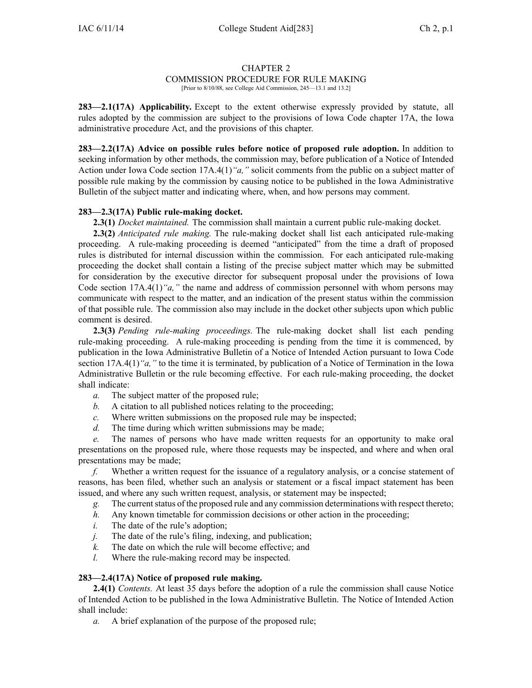### CHAPTER 2

# COMMISSION PROCEDURE FOR RULE MAKING

[Prior to 8/10/88, see College Aid Commission, 245—13.1 and 13.2]

**283—2.1(17A) Applicability.** Except to the extent otherwise expressly provided by statute, all rules adopted by the commission are subject to the provisions of Iowa Code chapter [17A](https://www.legis.iowa.gov/docs/ico/chapter/17A.pdf), the Iowa administrative procedure Act, and the provisions of this chapter.

**283—2.2(17A) Advice on possible rules before notice of proposed rule adoption.** In addition to seeking information by other methods, the commission may, before publication of <sup>a</sup> Notice of Intended Action under Iowa Code section [17A.4\(1\)](https://www.legis.iowa.gov/docs/ico/section/17A.4.pdf)*"a,"* solicit comments from the public on <sup>a</sup> subject matter of possible rule making by the commission by causing notice to be published in the Iowa Administrative Bulletin of the subject matter and indicating where, when, and how persons may comment.

# **283—2.3(17A) Public rule-making docket.**

**2.3(1)** *Docket maintained.* The commission shall maintain <sup>a</sup> current public rule-making docket.

**2.3(2)** *Anticipated rule making.* The rule-making docket shall list each anticipated rule-making proceeding. A rule-making proceeding is deemed "anticipated" from the time <sup>a</sup> draft of proposed rules is distributed for internal discussion within the commission. For each anticipated rule-making proceeding the docket shall contain <sup>a</sup> listing of the precise subject matter which may be submitted for consideration by the executive director for subsequent proposal under the provisions of Iowa Code section [17A.4\(1\)](https://www.legis.iowa.gov/docs/ico/section/17A.4.pdf)*"a,"* the name and address of commission personnel with whom persons may communicate with respec<sup>t</sup> to the matter, and an indication of the presen<sup>t</sup> status within the commission of that possible rule. The commission also may include in the docket other subjects upon which public comment is desired.

**2.3(3)** *Pending rule-making proceedings.* The rule-making docket shall list each pending rule-making proceeding. A rule-making proceeding is pending from the time it is commenced, by publication in the Iowa Administrative Bulletin of <sup>a</sup> Notice of Intended Action pursuan<sup>t</sup> to Iowa Code section [17A.4\(1\)](https://www.legis.iowa.gov/docs/ico/section/17A.4.pdf)<sup>*"a,*"</sup> to the time it is terminated, by publication of a Notice of Termination in the Iowa Administrative Bulletin or the rule becoming effective. For each rule-making proceeding, the docket shall indicate:

- *a.* The subject matter of the proposed rule;
- *b.* A citation to all published notices relating to the proceeding;
- *c.* Where written submissions on the proposed rule may be inspected;
- *d.* The time during which written submissions may be made;

*e.* The names of persons who have made written requests for an opportunity to make oral presentations on the proposed rule, where those requests may be inspected, and where and when oral presentations may be made;

*f.* Whether <sup>a</sup> written reques<sup>t</sup> for the issuance of <sup>a</sup> regulatory analysis, or <sup>a</sup> concise statement of reasons, has been filed, whether such an analysis or statement or <sup>a</sup> fiscal impact statement has been issued, and where any such written request, analysis, or statement may be inspected;

*g.* The currentstatus of the proposed rule and any commission determinations with respec<sup>t</sup> thereto;

- *h.* Any known timetable for commission decisions or other action in the proceeding;
- *i.* The date of the rule's adoption;
- *j.* The date of the rule's filing, indexing, and publication;
- *k.* The date on which the rule will become effective; and
- *l.* Where the rule-making record may be inspected.

### **283—2.4(17A) Notice of proposed rule making.**

**2.4(1)** *Contents.* At least 35 days before the adoption of <sup>a</sup> rule the commission shall cause Notice of Intended Action to be published in the Iowa Administrative Bulletin. The Notice of Intended Action shall include:

*a.* A brief explanation of the purpose of the proposed rule;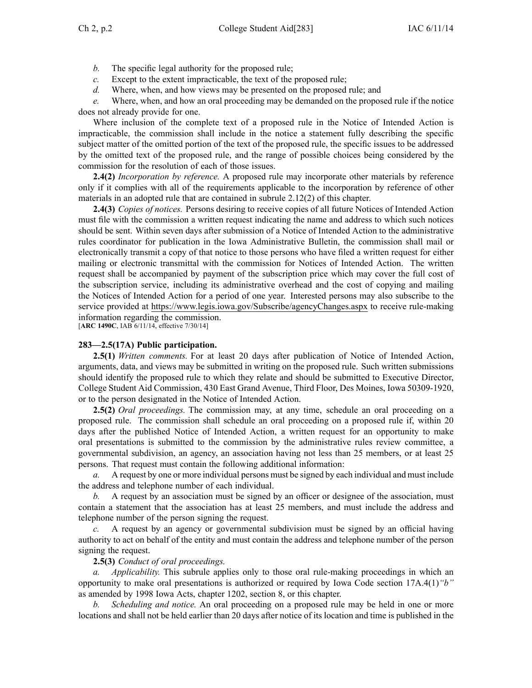- *b.* The specific legal authority for the proposed rule;
- *c.* Except to the extent impracticable, the text of the proposed rule;
- *d.* Where, when, and how views may be presented on the proposed rule; and

*e.* Where, when, and how an oral proceeding may be demanded on the proposed rule if the notice does not already provide for one.

Where inclusion of the complete text of <sup>a</sup> proposed rule in the Notice of Intended Action is impracticable, the commission shall include in the notice <sup>a</sup> statement fully describing the specific subject matter of the omitted portion of the text of the proposed rule, the specific issues to be addressed by the omitted text of the proposed rule, and the range of possible choices being considered by the commission for the resolution of each of those issues.

**2.4(2)** *Incorporation by reference.* A proposed rule may incorporate other materials by reference only if it complies with all of the requirements applicable to the incorporation by reference of other materials in an adopted rule that are contained in subrule 2.12(2) of this chapter.

**2.4(3)** *Copies of notices.* Persons desiring to receive copies of all future Notices of Intended Action must file with the commission <sup>a</sup> written reques<sup>t</sup> indicating the name and address to which such notices should be sent. Within seven days after submission of <sup>a</sup> Notice of Intended Action to the administrative rules coordinator for publication in the Iowa Administrative Bulletin, the commission shall mail or electronically transmit <sup>a</sup> copy of that notice to those persons who have filed <sup>a</sup> written reques<sup>t</sup> for either mailing or electronic transmittal with the commission for Notices of Intended Action. The written reques<sup>t</sup> shall be accompanied by paymen<sup>t</sup> of the subscription price which may cover the full cost of the subscription service, including its administrative overhead and the cost of copying and mailing the Notices of Intended Action for <sup>a</sup> period of one year. Interested persons may also subscribe to the service provided at https://www.legis.iowa.gov/Subscribe/agencyChanges.aspx to receive rule-making information regarding the commission.

[**ARC 1490C**, IAB 6/11/14, effective 7/30/14]

### **283—2.5(17A) Public participation.**

**2.5(1)** *Written comments.* For at least 20 days after publication of Notice of Intended Action, arguments, data, and views may be submitted in writing on the proposed rule. Such written submissions should identify the proposed rule to which they relate and should be submitted to Executive Director, College Student Aid Commission, 430 East Grand Avenue, Third Floor, Des Moines, Iowa 50309-1920, or to the person designated in the Notice of Intended Action.

**2.5(2)** *Oral proceedings.* The commission may, at any time, schedule an oral proceeding on <sup>a</sup> proposed rule. The commission shall schedule an oral proceeding on <sup>a</sup> proposed rule if, within 20 days after the published Notice of Intended Action, <sup>a</sup> written reques<sup>t</sup> for an opportunity to make oral presentations is submitted to the commission by the administrative rules review committee, <sup>a</sup> governmental subdivision, an agency, an association having not less than 25 members, or at least 25 persons. That reques<sup>t</sup> must contain the following additional information:

*a.* A reques<sup>t</sup> by one or more individual persons must be signed by each individual and must include the address and telephone number of each individual.

*b.* A reques<sup>t</sup> by an association must be signed by an officer or designee of the association, must contain <sup>a</sup> statement that the association has at least 25 members, and must include the address and telephone number of the person signing the request.

*c.* A reques<sup>t</sup> by an agency or governmental subdivision must be signed by an official having authority to act on behalf of the entity and must contain the address and telephone number of the person signing the request.

### **2.5(3)** *Conduct of oral proceedings.*

*a. Applicability.* This subrule applies only to those oral rule-making proceedings in which an opportunity to make oral presentations is authorized or required by Iowa Code section [17A.4\(1\)](https://www.legis.iowa.gov/docs/ico/section/17A.4.pdf)*"b"* as amended by 1998 Iowa Acts, chapter 1202, section 8, or this chapter.

*b. Scheduling and notice.* An oral proceeding on <sup>a</sup> proposed rule may be held in one or more locations and shall not be held earlier than 20 days after notice of its location and time is published in the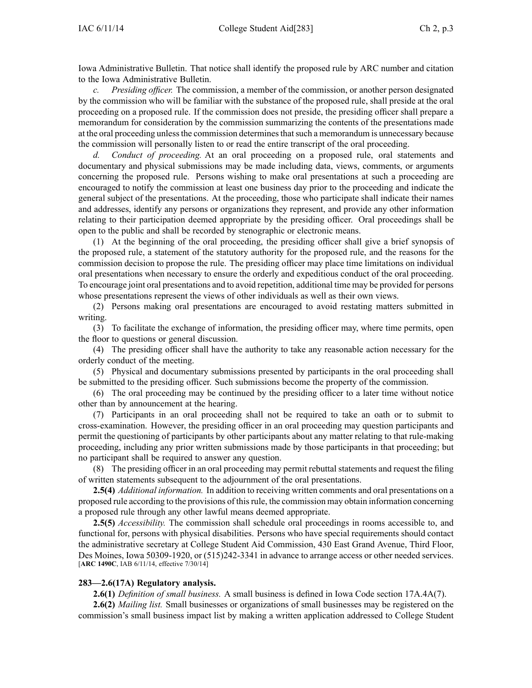Iowa Administrative Bulletin. That notice shall identify the proposed rule by ARC number and citation to the Iowa Administrative Bulletin.

*Presiding officer.* The commission, a member of the commission, or another person designated by the commission who will be familiar with the substance of the proposed rule, shall preside at the oral proceeding on <sup>a</sup> proposed rule. If the commission does not preside, the presiding officer shall prepare <sup>a</sup> memorandum for consideration by the commission summarizing the contents of the presentations made at the oral proceeding unlessthe commission determinesthatsuch <sup>a</sup> memorandum is unnecessary because the commission will personally listen to or read the entire transcript of the oral proceeding.

*d. Conduct of proceeding.* At an oral proceeding on <sup>a</sup> proposed rule, oral statements and documentary and physical submissions may be made including data, views, comments, or arguments concerning the proposed rule. Persons wishing to make oral presentations at such <sup>a</sup> proceeding are encouraged to notify the commission at least one business day prior to the proceeding and indicate the general subject of the presentations. At the proceeding, those who participate shall indicate their names and addresses, identify any persons or organizations they represent, and provide any other information relating to their participation deemed appropriate by the presiding officer. Oral proceedings shall be open to the public and shall be recorded by stenographic or electronic means.

(1) At the beginning of the oral proceeding, the presiding officer shall give <sup>a</sup> brief synopsis of the proposed rule, <sup>a</sup> statement of the statutory authority for the proposed rule, and the reasons for the commission decision to propose the rule. The presiding officer may place time limitations on individual oral presentations when necessary to ensure the orderly and expeditious conduct of the oral proceeding. To encourage joint oral presentations and to avoid repetition, additional time may be provided for persons whose presentations represen<sup>t</sup> the views of other individuals as well as their own views.

(2) Persons making oral presentations are encouraged to avoid restating matters submitted in writing.

(3) To facilitate the exchange of information, the presiding officer may, where time permits, open the floor to questions or general discussion.

(4) The presiding officer shall have the authority to take any reasonable action necessary for the orderly conduct of the meeting.

(5) Physical and documentary submissions presented by participants in the oral proceeding shall be submitted to the presiding officer. Such submissions become the property of the commission.

(6) The oral proceeding may be continued by the presiding officer to <sup>a</sup> later time without notice other than by announcement at the hearing.

(7) Participants in an oral proceeding shall not be required to take an oath or to submit to cross-examination. However, the presiding officer in an oral proceeding may question participants and permit the questioning of participants by other participants about any matter relating to that rule-making proceeding, including any prior written submissions made by those participants in that proceeding; but no participant shall be required to answer any question.

(8) The presiding officer in an oral proceeding may permit rebuttal statements and reques<sup>t</sup> the filing of written statements subsequent to the adjournment of the oral presentations.

**2.5(4)** *Additional information.* In addition to receiving written comments and oral presentations on <sup>a</sup> proposed rule according to the provisions of thisrule, the commission may obtain information concerning <sup>a</sup> proposed rule through any other lawful means deemed appropriate.

**2.5(5)** *Accessibility.* The commission shall schedule oral proceedings in rooms accessible to, and functional for, persons with physical disabilities. Persons who have special requirements should contact the administrative secretary at College Student Aid Commission, 430 East Grand Avenue, Third Floor, Des Moines, Iowa 50309-1920, or (515)242-3341 in advance to arrange access or other needed services. [**ARC 1490C**, IAB 6/11/14, effective 7/30/14]

# **283—2.6(17A) Regulatory analysis.**

**2.6(1)** *Definition of small business.* A small business is defined in Iowa Code section [17A.4A\(7\)](https://www.legis.iowa.gov/docs/ico/section/17A.4A.pdf).

**2.6(2)** *Mailing list.* Small businesses or organizations of small businesses may be registered on the commission's small business impact list by making <sup>a</sup> written application addressed to College Student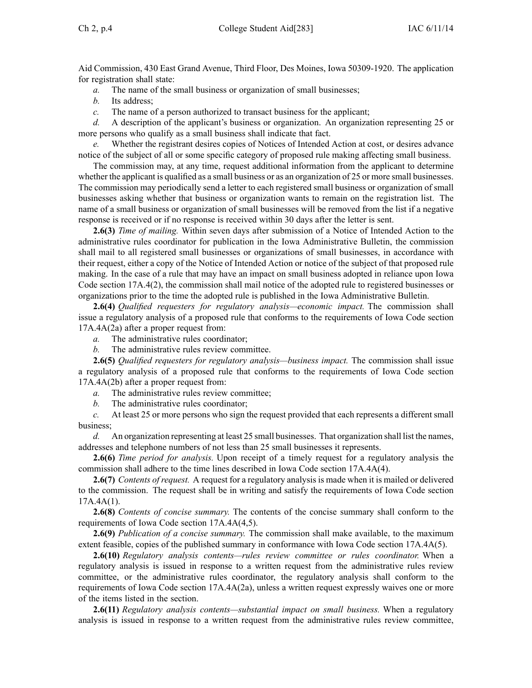Aid Commission, 430 East Grand Avenue, Third Floor, Des Moines, Iowa 50309-1920. The application for registration shall state:

*a.* The name of the small business or organization of small businesses;

*b.* Its address;

*c.* The name of <sup>a</sup> person authorized to transact business for the applicant;

*d.* A description of the applicant's business or organization. An organization representing 25 or more persons who qualify as <sup>a</sup> small business shall indicate that fact.

Whether the registrant desires copies of Notices of Intended Action at cost, or desires advance notice of the subject of all or some specific category of proposed rule making affecting small business.

The commission may, at any time, reques<sup>t</sup> additional information from the applicant to determine whether the applicant is qualified as a small business or as an organization of 25 or more small businesses. The commission may periodically send <sup>a</sup> letter to each registered small business or organization of small businesses asking whether that business or organization wants to remain on the registration list. The name of <sup>a</sup> small business or organization of small businesses will be removed from the list if <sup>a</sup> negative response is received or if no response is received within 30 days after the letter is sent.

**2.6(3)** *Time of mailing.* Within seven days after submission of <sup>a</sup> Notice of Intended Action to the administrative rules coordinator for publication in the Iowa Administrative Bulletin, the commission shall mail to all registered small businesses or organizations of small businesses, in accordance with their request, either <sup>a</sup> copy of the Notice of Intended Action or notice of the subject of that proposed rule making. In the case of <sup>a</sup> rule that may have an impact on small business adopted in reliance upon Iowa Code section [17A.4\(2\)](https://www.legis.iowa.gov/docs/ico/section/17A.4.pdf), the commission shall mail notice of the adopted rule to registered businesses or organizations prior to the time the adopted rule is published in the Iowa Administrative Bulletin.

**2.6(4)** *Qualified requesters for regulatory analysis—economic impact.* The commission shall issue <sup>a</sup> regulatory analysis of <sup>a</sup> proposed rule that conforms to the requirements of Iowa Code section [17A.4A\(2a\)](https://www.legis.iowa.gov/docs/ico/section/17A.4A.pdf) after <sup>a</sup> proper reques<sup>t</sup> from:

*a.* The administrative rules coordinator;

*b.* The administrative rules review committee.

**2.6(5)** *Qualified requesters for regulatory analysis—business impact.* The commission shall issue <sup>a</sup> regulatory analysis of <sup>a</sup> proposed rule that conforms to the requirements of Iowa Code section [17A.4A\(2b\)](https://www.legis.iowa.gov/docs/ico/section/17A.4A.pdf) after <sup>a</sup> proper reques<sup>t</sup> from:

*a.* The administrative rules review committee;

*b.* The administrative rules coordinator;

*c.* At least 25 or more persons who sign the reques<sup>t</sup> provided that each represents <sup>a</sup> different small business;

*d.* An organization representing at least 25 small businesses. That organization shall list the names, addresses and telephone numbers of not less than 25 small businesses it represents.

**2.6(6)** *Time period for analysis.* Upon receipt of <sup>a</sup> timely reques<sup>t</sup> for <sup>a</sup> regulatory analysis the commission shall adhere to the time lines described in Iowa Code section [17A.4A\(4\)](https://www.legis.iowa.gov/docs/ico/section/17A.4A.pdf).

**2.6(7)** *Contents of request.* A reques<sup>t</sup> for <sup>a</sup> regulatory analysis is made when it is mailed or delivered to the commission. The reques<sup>t</sup> shall be in writing and satisfy the requirements of Iowa Code section  $17A.4A(1)$ .

**2.6(8)** *Contents of concise summary.* The contents of the concise summary shall conform to the requirements of Iowa Code section [17A.4A\(4,5\)](https://www.legis.iowa.gov/docs/ico/section/17A.4A.pdf).

**2.6(9)** *Publication of <sup>a</sup> concise summary.* The commission shall make available, to the maximum extent feasible, copies of the published summary in conformance with Iowa Code section [17A.4A\(5\)](https://www.legis.iowa.gov/docs/ico/section/17A.4A.pdf).

**2.6(10)** *Regulatory analysis contents—rules review committee or rules coordinator.* When <sup>a</sup> regulatory analysis is issued in response to <sup>a</sup> written reques<sup>t</sup> from the administrative rules review committee, or the administrative rules coordinator, the regulatory analysis shall conform to the requirements of Iowa Code section [17A.4A\(2a\)](https://www.legis.iowa.gov/docs/ico/section/17A.4A.pdf), unless <sup>a</sup> written reques<sup>t</sup> expressly waives one or more of the items listed in the section.

**2.6(11)** *Regulatory analysis contents—substantial impact on small business.* When <sup>a</sup> regulatory analysis is issued in response to <sup>a</sup> written reques<sup>t</sup> from the administrative rules review committee,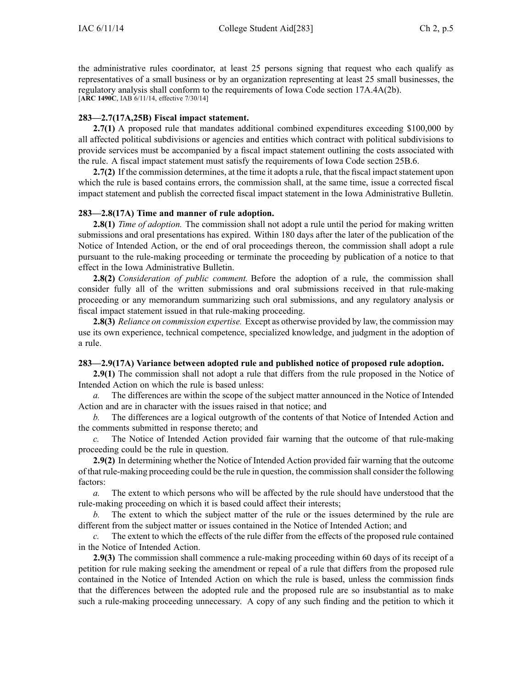the administrative rules coordinator, at least 25 persons signing that reques<sup>t</sup> who each qualify as representatives of <sup>a</sup> small business or by an organization representing at least 25 small businesses, the regulatory analysis shall conform to the requirements of Iowa Code section [17A.4A\(2b\)](https://www.legis.iowa.gov/docs/ico/section/17A.4A.pdf). [**ARC 1490C**, IAB 6/11/14, effective 7/30/14]

## **283—2.7(17A,25B) Fiscal impact statement.**

**2.7(1)** A proposed rule that mandates additional combined expenditures exceeding \$100,000 by all affected political subdivisions or agencies and entities which contract with political subdivisions to provide services must be accompanied by <sup>a</sup> fiscal impact statement outlining the costs associated with the rule. A fiscal impact statement must satisfy the requirements of Iowa Code section [25B.6](https://www.legis.iowa.gov/docs/ico/section/25B.6.pdf).

**2.7(2)** If the commission determines, at the time it adopts a rule, that the fiscal impact statement upon which the rule is based contains errors, the commission shall, at the same time, issue <sup>a</sup> corrected fiscal impact statement and publish the corrected fiscal impact statement in the Iowa Administrative Bulletin.

# **283—2.8(17A) Time and manner of rule adoption.**

**2.8(1)** *Time of adoption.* The commission shall not adopt <sup>a</sup> rule until the period for making written submissions and oral presentations has expired. Within 180 days after the later of the publication of the Notice of Intended Action, or the end of oral proceedings thereon, the commission shall adopt <sup>a</sup> rule pursuan<sup>t</sup> to the rule-making proceeding or terminate the proceeding by publication of <sup>a</sup> notice to that effect in the Iowa Administrative Bulletin.

**2.8(2)** *Consideration of public comment.* Before the adoption of <sup>a</sup> rule, the commission shall consider fully all of the written submissions and oral submissions received in that rule-making proceeding or any memorandum summarizing such oral submissions, and any regulatory analysis or fiscal impact statement issued in that rule-making proceeding.

**2.8(3)** *Reliance on commission expertise.* Except as otherwise provided by law, the commission may use its own experience, technical competence, specialized knowledge, and judgment in the adoption of <sup>a</sup> rule.

# **283—2.9(17A) Variance between adopted rule and published notice of proposed rule adoption.**

**2.9(1)** The commission shall not adopt <sup>a</sup> rule that differs from the rule proposed in the Notice of Intended Action on which the rule is based unless:

*a.* The differences are within the scope of the subject matter announced in the Notice of Intended Action and are in character with the issues raised in that notice; and

*b.* The differences are <sup>a</sup> logical outgrowth of the contents of that Notice of Intended Action and the comments submitted in response thereto; and

*c.* The Notice of Intended Action provided fair warning that the outcome of that rule-making proceeding could be the rule in question.

**2.9(2)** In determining whether the Notice of Intended Action provided fair warning that the outcome of that rule-making proceeding could be the rule in question, the commission shall consider the following factors:

*a.* The extent to which persons who will be affected by the rule should have understood that the rule-making proceeding on which it is based could affect their interests;

*b.* The extent to which the subject matter of the rule or the issues determined by the rule are different from the subject matter or issues contained in the Notice of Intended Action; and

*c.* The extent to which the effects of the rule differ from the effects of the proposed rule contained in the Notice of Intended Action.

**2.9(3)** The commission shall commence <sup>a</sup> rule-making proceeding within 60 days of its receipt of <sup>a</sup> petition for rule making seeking the amendment or repeal of <sup>a</sup> rule that differs from the proposed rule contained in the Notice of Intended Action on which the rule is based, unless the commission finds that the differences between the adopted rule and the proposed rule are so insubstantial as to make such <sup>a</sup> rule-making proceeding unnecessary. A copy of any such finding and the petition to which it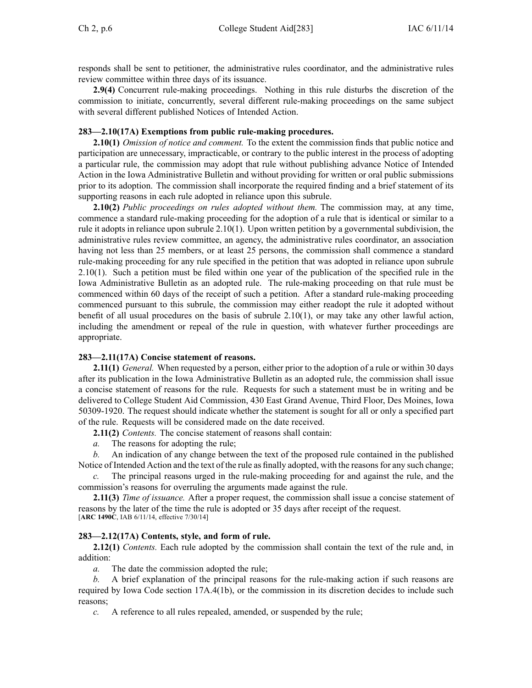responds shall be sent to petitioner, the administrative rules coordinator, and the administrative rules review committee within three days of its issuance.

**2.9(4)** Concurrent rule-making proceedings. Nothing in this rule disturbs the discretion of the commission to initiate, concurrently, several different rule-making proceedings on the same subject with several different published Notices of Intended Action.

### **283—2.10(17A) Exemptions from public rule-making procedures.**

**2.10(1)** *Omission of notice and comment.* To the extent the commission finds that public notice and participation are unnecessary, impracticable, or contrary to the public interest in the process of adopting <sup>a</sup> particular rule, the commission may adopt that rule without publishing advance Notice of Intended Action in the Iowa Administrative Bulletin and without providing for written or oral public submissions prior to its adoption. The commission shall incorporate the required finding and <sup>a</sup> brief statement of its supporting reasons in each rule adopted in reliance upon this subrule.

**2.10(2)** *Public proceedings on rules adopted without them.* The commission may, at any time, commence <sup>a</sup> standard rule-making proceeding for the adoption of <sup>a</sup> rule that is identical or similar to <sup>a</sup> rule it adopts in reliance upon subrule 2.10(1). Upon written petition by <sup>a</sup> governmental subdivision, the administrative rules review committee, an agency, the administrative rules coordinator, an association having not less than 25 members, or at least 25 persons, the commission shall commence <sup>a</sup> standard rule-making proceeding for any rule specified in the petition that was adopted in reliance upon subrule 2.10(1). Such <sup>a</sup> petition must be filed within one year of the publication of the specified rule in the Iowa Administrative Bulletin as an adopted rule. The rule-making proceeding on that rule must be commenced within 60 days of the receipt of such <sup>a</sup> petition. After <sup>a</sup> standard rule-making proceeding commenced pursuan<sup>t</sup> to this subrule, the commission may either readopt the rule it adopted without benefit of all usual procedures on the basis of subrule 2.10(1), or may take any other lawful action, including the amendment or repeal of the rule in question, with whatever further proceedings are appropriate.

### **283—2.11(17A) Concise statement of reasons.**

**2.11(1)** *General.* When requested by <sup>a</sup> person, either prior to the adoption of <sup>a</sup> rule or within 30 days after its publication in the Iowa Administrative Bulletin as an adopted rule, the commission shall issue <sup>a</sup> concise statement of reasons for the rule. Requests for such <sup>a</sup> statement must be in writing and be delivered to College Student Aid Commission, 430 East Grand Avenue, Third Floor, Des Moines, Iowa 50309-1920. The reques<sup>t</sup> should indicate whether the statement is sought for all or only <sup>a</sup> specified par<sup>t</sup> of the rule. Requests will be considered made on the date received.

**2.11(2)** *Contents.* The concise statement of reasons shall contain:

*a.* The reasons for adopting the rule;

*b.* An indication of any change between the text of the proposed rule contained in the published Notice of Intended Action and the text of the rule as finally adopted, with the reasons for any such change;

*c.* The principal reasons urged in the rule-making proceeding for and against the rule, and the commission's reasons for overruling the arguments made against the rule.

**2.11(3)** *Time of issuance.* After <sup>a</sup> proper request, the commission shall issue <sup>a</sup> concise statement of reasons by the later of the time the rule is adopted or 35 days after receipt of the request. [**ARC 1490C**, IAB 6/11/14, effective 7/30/14]

### **283—2.12(17A) Contents, style, and form of rule.**

**2.12(1)** *Contents.* Each rule adopted by the commission shall contain the text of the rule and, in addition:

*a.* The date the commission adopted the rule;

*b.* A brief explanation of the principal reasons for the rule-making action if such reasons are required by Iowa Code section [17A.4\(1b\)](https://www.legis.iowa.gov/docs/ico/section/17A.4.pdf), or the commission in its discretion decides to include such reasons;

*c.* A reference to all rules repealed, amended, or suspended by the rule;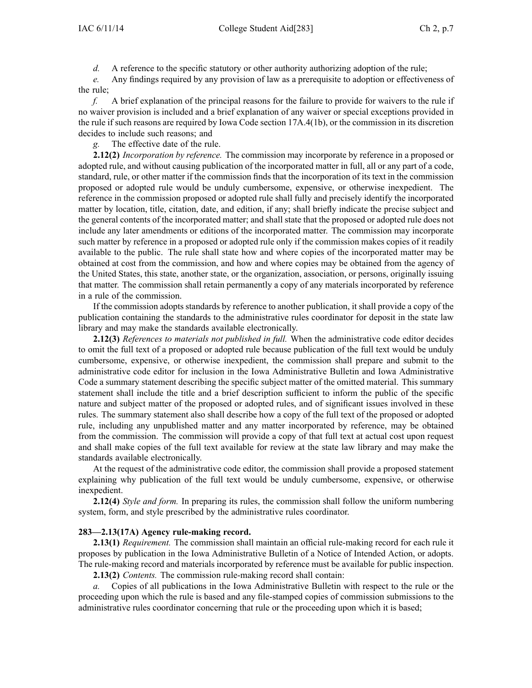*d.* A reference to the specific statutory or other authority authorizing adoption of the rule;

*e.* Any findings required by any provision of law as <sup>a</sup> prerequisite to adoption or effectiveness of the rule;

*f.* A brief explanation of the principal reasons for the failure to provide for waivers to the rule if no waiver provision is included and <sup>a</sup> brief explanation of any waiver or special exceptions provided in the rule if such reasons are required by Iowa Code section [17A.4\(1b\)](https://www.legis.iowa.gov/docs/ico/section/17A.4.pdf), or the commission in its discretion decides to include such reasons; and

*g.* The effective date of the rule.

**2.12(2)** *Incorporation by reference.* The commission may incorporate by reference in <sup>a</sup> proposed or adopted rule, and without causing publication of the incorporated matter in full, all or any par<sup>t</sup> of <sup>a</sup> code, standard, rule, or other matter if the commission finds that the incorporation of its text in the commission proposed or adopted rule would be unduly cumbersome, expensive, or otherwise inexpedient. The reference in the commission proposed or adopted rule shall fully and precisely identify the incorporated matter by location, title, citation, date, and edition, if any; shall briefly indicate the precise subject and the general contents of the incorporated matter; and shall state that the proposed or adopted rule does not include any later amendments or editions of the incorporated matter. The commission may incorporate such matter by reference in <sup>a</sup> proposed or adopted rule only if the commission makes copies of it readily available to the public. The rule shall state how and where copies of the incorporated matter may be obtained at cost from the commission, and how and where copies may be obtained from the agency of the United States, this state, another state, or the organization, association, or persons, originally issuing that matter. The commission shall retain permanently <sup>a</sup> copy of any materials incorporated by reference in <sup>a</sup> rule of the commission.

If the commission adopts standards by reference to another publication, it shall provide <sup>a</sup> copy of the publication containing the standards to the administrative rules coordinator for deposit in the state law library and may make the standards available electronically.

**2.12(3)** *References to materials not published in full.* When the administrative code editor decides to omit the full text of <sup>a</sup> proposed or adopted rule because publication of the full text would be unduly cumbersome, expensive, or otherwise inexpedient, the commission shall prepare and submit to the administrative code editor for inclusion in the Iowa Administrative Bulletin and Iowa Administrative Code <sup>a</sup> summary statement describing the specific subject matter of the omitted material. This summary statement shall include the title and <sup>a</sup> brief description sufficient to inform the public of the specific nature and subject matter of the proposed or adopted rules, and of significant issues involved in these rules. The summary statement also shall describe how <sup>a</sup> copy of the full text of the proposed or adopted rule, including any unpublished matter and any matter incorporated by reference, may be obtained from the commission. The commission will provide <sup>a</sup> copy of that full text at actual cost upon reques<sup>t</sup> and shall make copies of the full text available for review at the state law library and may make the standards available electronically.

At the reques<sup>t</sup> of the administrative code editor, the commission shall provide <sup>a</sup> proposed statement explaining why publication of the full text would be unduly cumbersome, expensive, or otherwise inexpedient.

**2.12(4)** *Style and form.* In preparing its rules, the commission shall follow the uniform numbering system, form, and style prescribed by the administrative rules coordinator.

### **283—2.13(17A) Agency rule-making record.**

**2.13(1)** *Requirement.* The commission shall maintain an official rule-making record for each rule it proposes by publication in the Iowa Administrative Bulletin of <sup>a</sup> Notice of Intended Action, or adopts. The rule-making record and materials incorporated by reference must be available for public inspection.

**2.13(2)** *Contents.* The commission rule-making record shall contain:

*a.* Copies of all publications in the Iowa Administrative Bulletin with respec<sup>t</sup> to the rule or the proceeding upon which the rule is based and any file-stamped copies of commission submissions to the administrative rules coordinator concerning that rule or the proceeding upon which it is based;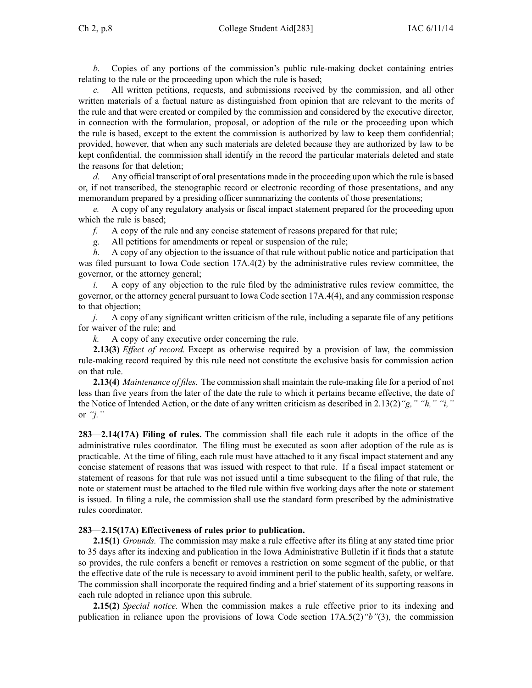*b.* Copies of any portions of the commission's public rule-making docket containing entries relating to the rule or the proceeding upon which the rule is based;

*c.* All written petitions, requests, and submissions received by the commission, and all other written materials of <sup>a</sup> factual nature as distinguished from opinion that are relevant to the merits of the rule and that were created or compiled by the commission and considered by the executive director, in connection with the formulation, proposal, or adoption of the rule or the proceeding upon which the rule is based, excep<sup>t</sup> to the extent the commission is authorized by law to keep them confidential; provided, however, that when any such materials are deleted because they are authorized by law to be kept confidential, the commission shall identify in the record the particular materials deleted and state the reasons for that deletion;

*d.* Any official transcript of oral presentations made in the proceeding upon which the rule is based or, if not transcribed, the stenographic record or electronic recording of those presentations, and any memorandum prepared by <sup>a</sup> presiding officer summarizing the contents of those presentations;

*e.* A copy of any regulatory analysis or fiscal impact statement prepared for the proceeding upon which the rule is based;

*f.* A copy of the rule and any concise statement of reasons prepared for that rule;

*g.* All petitions for amendments or repeal or suspension of the rule;

*h.* A copy of any objection to the issuance of that rule without public notice and participation that was filed pursuant to Iowa Code section  $17A.4(2)$  by the administrative rules review committee, the governor, or the attorney general;

*i.* A copy of any objection to the rule filed by the administrative rules review committee, the governor, or the attorney general pursuan<sup>t</sup> to Iowa Code section [17A.4\(4\)](https://www.legis.iowa.gov/docs/ico/section/17A.4.pdf), and any commission response to that objection;

*j.* A copy of any significant written criticism of the rule, including <sup>a</sup> separate file of any petitions for waiver of the rule; and

*k.* A copy of any executive order concerning the rule.

**2.13(3)** *Effect of record.* Except as otherwise required by <sup>a</sup> provision of law, the commission rule-making record required by this rule need not constitute the exclusive basis for commission action on that rule.

**2.13(4)** *Maintenance of files.* The commission shall maintain the rule-making file for <sup>a</sup> period of not less than five years from the later of the date the rule to which it pertains became effective, the date of the Notice of Intended Action, or the date of any written criticism as described in 2.13(2)*"g," "h," "i,"* or *"j."*

**283—2.14(17A) Filing of rules.** The commission shall file each rule it adopts in the office of the administrative rules coordinator. The filing must be executed as soon after adoption of the rule as is practicable. At the time of filing, each rule must have attached to it any fiscal impact statement and any concise statement of reasons that was issued with respec<sup>t</sup> to that rule. If <sup>a</sup> fiscal impact statement or statement of reasons for that rule was not issued until <sup>a</sup> time subsequent to the filing of that rule, the note or statement must be attached to the filed rule within five working days after the note or statement is issued. In filing <sup>a</sup> rule, the commission shall use the standard form prescribed by the administrative rules coordinator.

### **283—2.15(17A) Effectiveness of rules prior to publication.**

**2.15(1)** *Grounds.* The commission may make <sup>a</sup> rule effective after its filing at any stated time prior to 35 days after its indexing and publication in the Iowa Administrative Bulletin if it finds that <sup>a</sup> statute so provides, the rule confers <sup>a</sup> benefit or removes <sup>a</sup> restriction on some segmen<sup>t</sup> of the public, or that the effective date of the rule is necessary to avoid imminent peril to the public health, safety, or welfare. The commission shall incorporate the required finding and <sup>a</sup> brief statement of its supporting reasons in each rule adopted in reliance upon this subrule.

**2.15(2)** *Special notice.* When the commission makes <sup>a</sup> rule effective prior to its indexing and publication in reliance upon the provisions of Iowa Code section [17A.5\(2\)](https://www.legis.iowa.gov/docs/ico/section/17A.5.pdf)*"b"*(3), the commission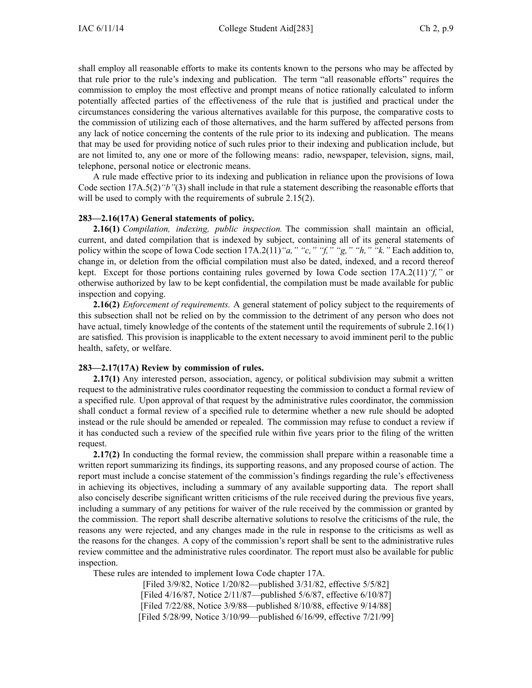shall employ all reasonable efforts to make its contents known to the persons who may be affected by that rule prior to the rule's indexing and publication. The term "all reasonable efforts" requires the commission to employ the most effective and promp<sup>t</sup> means of notice rationally calculated to inform potentially affected parties of the effectiveness of the rule that is justified and practical under the circumstances considering the various alternatives available for this purpose, the comparative costs to the commission of utilizing each of those alternatives, and the harm suffered by affected persons from any lack of notice concerning the contents of the rule prior to its indexing and publication. The means that may be used for providing notice of such rules prior to their indexing and publication include, but are not limited to, any one or more of the following means: radio, newspaper, television, signs, mail, telephone, personal notice or electronic means.

A rule made effective prior to its indexing and publication in reliance upon the provisions of Iowa Code section [17A.5\(2\)](https://www.legis.iowa.gov/docs/ico/section/17A.5.pdf)*"b"*(3) shall include in that rule <sup>a</sup> statement describing the reasonable efforts that will be used to comply with the requirements of subrule 2.15(2).

#### **283—2.16(17A) General statements of policy.**

**2.16(1)** *Compilation, indexing, public inspection.* The commission shall maintain an official, current, and dated compilation that is indexed by subject, containing all of its general statements of policy within the scope of Iowa Code section [17A.2\(11\)](https://www.legis.iowa.gov/docs/ico/section/17A.2.pdf)*"a," "c," "f," "g," "h," "k."* Each addition to, change in, or deletion from the official compilation must also be dated, indexed, and <sup>a</sup> record thereof kept. Except for those portions containing rules governed by Iowa Code section [17A.2\(11\)](https://www.legis.iowa.gov/docs/ico/section/17A.2.pdf)*"f,"* or otherwise authorized by law to be kept confidential, the compilation must be made available for public inspection and copying.

**2.16(2)** *Enforcement of requirements.* A general statement of policy subject to the requirements of this subsection shall not be relied on by the commission to the detriment of any person who does not have actual, timely knowledge of the contents of the statement until the requirements of subrule 2.16(1) are satisfied. This provision is inapplicable to the extent necessary to avoid imminent peril to the public health, safety, or welfare.

### **283—2.17(17A) Review by commission of rules.**

**2.17(1)** Any interested person, association, agency, or political subdivision may submit a written reques<sup>t</sup> to the administrative rules coordinator requesting the commission to conduct <sup>a</sup> formal review of <sup>a</sup> specified rule. Upon approval of that reques<sup>t</sup> by the administrative rules coordinator, the commission shall conduct <sup>a</sup> formal review of <sup>a</sup> specified rule to determine whether <sup>a</sup> new rule should be adopted instead or the rule should be amended or repealed. The commission may refuse to conduct <sup>a</sup> review if it has conducted such <sup>a</sup> review of the specified rule within five years prior to the filing of the written request.

**2.17(2)** In conducting the formal review, the commission shall prepare within <sup>a</sup> reasonable time <sup>a</sup> written repor<sup>t</sup> summarizing its findings, its supporting reasons, and any proposed course of action. The repor<sup>t</sup> must include <sup>a</sup> concise statement of the commission's findings regarding the rule's effectiveness in achieving its objectives, including <sup>a</sup> summary of any available supporting data. The repor<sup>t</sup> shall also concisely describe significant written criticisms of the rule received during the previous five years, including <sup>a</sup> summary of any petitions for waiver of the rule received by the commission or granted by the commission. The repor<sup>t</sup> shall describe alternative solutions to resolve the criticisms of the rule, the reasons any were rejected, and any changes made in the rule in response to the criticisms as well as the reasons for the changes. A copy of the commission's repor<sup>t</sup> shall be sent to the administrative rules review committee and the administrative rules coordinator. The repor<sup>t</sup> must also be available for public inspection.

These rules are intended to implement Iowa Code chapter [17A](https://www.legis.iowa.gov/docs/ico/chapter/17A.pdf).

[Filed 3/9/82, Notice 1/20/82—published 3/31/82, effective 5/5/82] [Filed 4/16/87, Notice 2/11/87—published 5/6/87, effective 6/10/87] [Filed 7/22/88, Notice 3/9/88—published 8/10/88, effective 9/14/88] [Filed 5/28/99, Notice 3/10/99—published 6/16/99, effective 7/21/99]